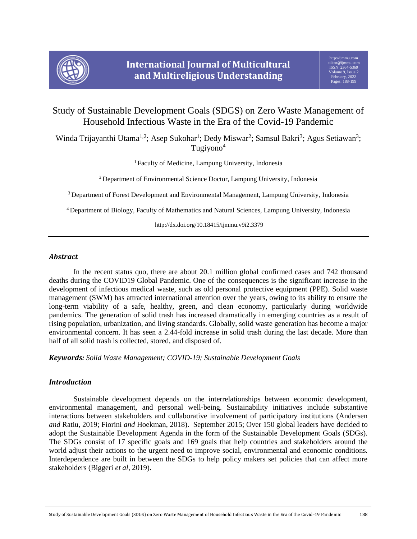

# Study of Sustainable Development Goals (SDGS) on Zero Waste Management of Household Infectious Waste in the Era of the Covid-19 Pandemic

Winda Trijayanthi Utama<sup>1,2</sup>; Asep Sukohar<sup>1</sup>; Dedy Miswar<sup>2</sup>; Samsul Bakri<sup>3</sup>; Agus Setiawan<sup>3</sup>; Tugiyono<sup>4</sup>

<sup>1</sup> Faculty of Medicine, Lampung University, Indonesia

<sup>2</sup> Department of Environmental Science Doctor, Lampung University, Indonesia

<sup>3</sup> Department of Forest Development and Environmental Management, Lampung University, Indonesia

<sup>4</sup> Department of Biology, Faculty of Mathematics and Natural Sciences, Lampung University, Indonesia

http://dx.doi.org/10.18415/ijmmu.v9i2.3379

# *Abstract*

In the recent status quo, there are about 20.1 million global confirmed cases and 742 thousand deaths during the COVID19 Global Pandemic. One of the consequences is the significant increase in the development of infectious medical waste, such as old personal protective equipment (PPE). Solid waste management (SWM) has attracted international attention over the years, owing to its ability to ensure the long-term viability of a safe, healthy, green, and clean economy, particularly during worldwide pandemics. The generation of solid trash has increased dramatically in emerging countries as a result of rising population, urbanization, and living standards. Globally, solid waste generation has become a major environmental concern. It has seen a 2.44-fold increase in solid trash during the last decade. More than half of all solid trash is collected, stored, and disposed of.

*Keywords: Solid Waste Management; COVID-19; Sustainable Development Goals*

# *Introduction*

Sustainable development depends on the interrelationships between economic development, environmental management, and personal well-being. Sustainability initiatives include substantive interactions between stakeholders and collaborative involvement of participatory institutions (Andersen *and* Ratiu, 2019; Fiorini *and* Hoekman, 2018). September 2015; Over 150 global leaders have decided to adopt the Sustainable Development Agenda in the form of the Sustainable Development Goals (SDGs). The SDGs consist of 17 specific goals and 169 goals that help countries and stakeholders around the world adjust their actions to the urgent need to improve social, environmental and economic conditions. Interdependence are built in between the SDGs to help policy makers set policies that can affect more stakeholders (Biggeri *et al*, 2019).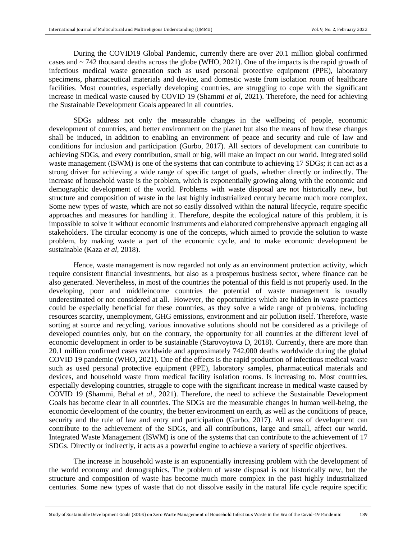During the COVID19 Global Pandemic, currently there are over 20.1 million global confirmed cases and ~ 742 thousand deaths across the globe (WHO, 2021). One of the impacts is the rapid growth of infectious medical waste generation such as used personal protective equipment (PPE), laboratory specimens, pharmaceutical materials and device, and domestic waste from isolation room of healthcare facilities. Most countries, especially developing countries, are struggling to cope with the significant increase in medical waste caused by COVID 19 (Shammi *et al*, 2021). Therefore, the need for achieving the Sustainable Development Goals appeared in all countries.

SDGs address not only the measurable changes in the wellbeing of people, economic development of countries, and better environment on the planet but also the means of how these changes shall be induced, in addition to enabling an environment of peace and security and rule of law and conditions for inclusion and participation (Gurbo, 2017). All sectors of development can contribute to achieving SDGs, and every contribution, small or big, will make an impact on our world. Integrated solid waste management (ISWM) is one of the systems that can contribute to achieving 17 SDGs; it can act as a strong driver for achieving a wide range of specific target of goals, whether directly or indirectly. The increase of household waste is the problem, which is exponentially growing along with the economic and demographic development of the world. Problems with waste disposal are not historically new, but structure and composition of waste in the last highly industrialized century became much more complex. Some new types of waste, which are not so easily dissolved within the natural lifecycle, require specific approaches and measures for handling it. Therefore, despite the ecological nature of this problem, it is impossible to solve it without economic instruments and elaborated comprehensive approach engaging all stakeholders. The circular economy is one of the concepts, which aimed to provide the solution to waste problem, by making waste a part of the economic cycle, and to make economic development be sustainable (Kaza *et al,* 2018).

Hence, waste management is now regarded not only as an environment protection activity, which require consistent financial investments, but also as a prosperous business sector, where finance can be also generated. Nevertheless, in most of the countries the potential of this field is not properly used. In the developing, poor and middleincome countries the potential of waste management is usually underestimated or not considered at all. However, the opportunities which are hidden in waste practices could be especially beneficial for these countries, as they solve a wide range of problems, including resources scarcity, unemployment, GHG emissions, environment and air pollution itself. Therefore, waste sorting at source and recycling, various innovative solutions should not be considered as a privilege of developed countries only, but on the contrary, the opportunity for all countries at the different level of economic development in order to be sustainable (Starovoytova D, 2018). Currently, there are more than 20.1 million confirmed cases worldwide and approximately 742,000 deaths worldwide during the global COVID 19 pandemic (WHO, 2021). One of the effects is the rapid production of infectious medical waste such as used personal protective equipment (PPE), laboratory samples, pharmaceutical materials and devices, and household waste from medical facility isolation rooms. Is increasing to. Most countries, especially developing countries, struggle to cope with the significant increase in medical waste caused by COVID 19 (Shammi, Behal *et al*., 2021). Therefore, the need to achieve the Sustainable Development Goals has become clear in all countries. The SDGs are the measurable changes in human well-being, the economic development of the country, the better environment on earth, as well as the conditions of peace, security and the rule of law and entry and participation (Gurbo, 2017). All areas of development can contribute to the achievement of the SDGs, and all contributions, large and small, affect our world. Integrated Waste Management (ISWM) is one of the systems that can contribute to the achievement of 17 SDGs. Directly or indirectly, it acts as a powerful engine to achieve a variety of specific objectives.

The increase in household waste is an exponentially increasing problem with the development of the world economy and demographics. The problem of waste disposal is not historically new, but the structure and composition of waste has become much more complex in the past highly industrialized centuries. Some new types of waste that do not dissolve easily in the natural life cycle require specific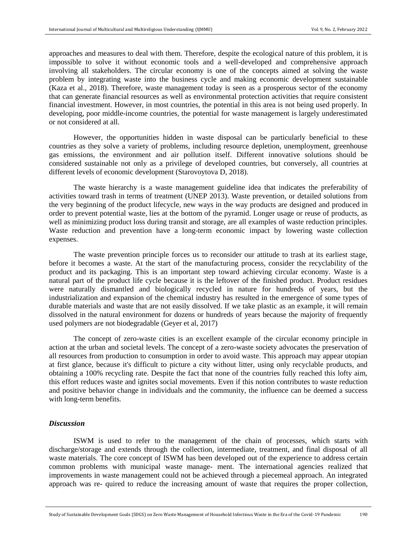approaches and measures to deal with them. Therefore, despite the ecological nature of this problem, it is impossible to solve it without economic tools and a well-developed and comprehensive approach involving all stakeholders. The circular economy is one of the concepts aimed at solving the waste problem by integrating waste into the business cycle and making economic development sustainable (Kaza et al., 2018). Therefore, waste management today is seen as a prosperous sector of the economy that can generate financial resources as well as environmental protection activities that require consistent financial investment. However, in most countries, the potential in this area is not being used properly. In developing, poor middle-income countries, the potential for waste management is largely underestimated or not considered at all.

However, the opportunities hidden in waste disposal can be particularly beneficial to these countries as they solve a variety of problems, including resource depletion, unemployment, greenhouse gas emissions, the environment and air pollution itself. Different innovative solutions should be considered sustainable not only as a privilege of developed countries, but conversely, all countries at different levels of economic development (Starovoytova D, 2018).

The waste hierarchy is a waste management guideline idea that indicates the preferability of activities toward trash in terms of treatment (UNEP 2013). Waste prevention, or detailed solutions from the very beginning of the product lifecycle, new ways in the way products are designed and produced in order to prevent potential waste, lies at the bottom of the pyramid. Longer usage or reuse of products, as well as minimizing product loss during transit and storage, are all examples of waste reduction principles. Waste reduction and prevention have a long-term economic impact by lowering waste collection expenses.

The waste prevention principle forces us to reconsider our attitude to trash at its earliest stage, before it becomes a waste. At the start of the manufacturing process, consider the recyclability of the product and its packaging. This is an important step toward achieving circular economy. Waste is a natural part of the product life cycle because it is the leftover of the finished product. Product residues were naturally dismantled and biologically recycled in nature for hundreds of years, but the industrialization and expansion of the chemical industry has resulted in the emergence of some types of durable materials and waste that are not easily dissolved. If we take plastic as an example, it will remain dissolved in the natural environment for dozens or hundreds of years because the majority of frequently used polymers are not biodegradable (Geyer et al, 2017)

The concept of zero-waste cities is an excellent example of the circular economy principle in action at the urban and societal levels. The concept of a zero-waste society advocates the preservation of all resources from production to consumption in order to avoid waste. This approach may appear utopian at first glance, because it's difficult to picture a city without litter, using only recyclable products, and obtaining a 100% recycling rate. Despite the fact that none of the countries fully reached this lofty aim, this effort reduces waste and ignites social movements. Even if this notion contributes to waste reduction and positive behavior change in individuals and the community, the influence can be deemed a success with long-term benefits.

# *Discussion*

ISWM is used to refer to the management of the chain of processes, which starts with discharge/storage and extends through the collection, intermediate, treatment, and final disposal of all waste materials. The core concept of ISWM has been developed out of the experience to address certain common problems with municipal waste manage- ment. The international agencies realized that improvements in waste management could not be achieved through a piecemeal approach. An integrated approach was re- quired to reduce the increasing amount of waste that requires the proper collection,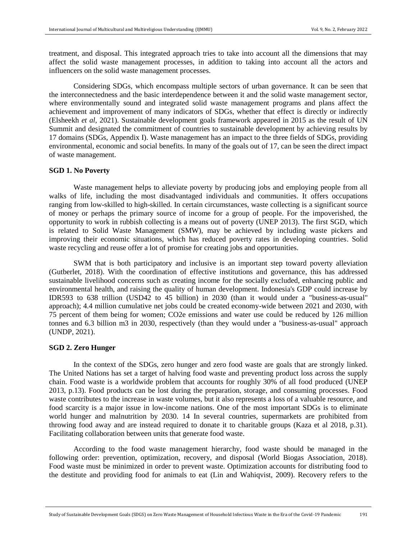treatment, and disposal. This integrated approach tries to take into account all the dimensions that may affect the solid waste management processes, in addition to taking into account all the actors and influencers on the solid waste management processes.

Considering SDGs, which encompass multiple sectors of urban governance. It can be seen that the interconnectedness and the basic interdependence between it and the solid waste management sector, where environmentally sound and integrated solid waste management programs and plans affect the achievement and improvement of many indicators of SDGs, whether that effect is directly or indirectly (Elsheekh *et al,* 2021). Sustainable development goals framework appeared in 2015 as the result of UN Summit and designated the commitment of countries to sustainable development by achieving results by 17 domains (SDGs, Appendix I). Waste management has an impact to the three fields of SDGs, providing environmental, economic and social benefits. In many of the goals out of 17, can be seen the direct impact of waste management.

# **SGD 1. No Poverty**

Waste management helps to alleviate poverty by producing jobs and employing people from all walks of life, including the most disadvantaged individuals and communities. It offers occupations ranging from low-skilled to high-skilled. In certain circumstances, waste collecting is a significant source of money or perhaps the primary source of income for a group of people. For the impoverished, the opportunity to work in rubbish collecting is a means out of poverty (UNEP 2013). The first SGD, which is related to Solid Waste Management (SMW), may be achieved by including waste pickers and improving their economic situations, which has reduced poverty rates in developing countries. Solid waste recycling and reuse offer a lot of promise for creating jobs and opportunities.

SWM that is both participatory and inclusive is an important step toward poverty alleviation (Gutberlet, 2018). With the coordination of effective institutions and governance, this has addressed sustainable livelihood concerns such as creating income for the socially excluded, enhancing public and environmental health, and raising the quality of human development. Indonesia's GDP could increase by IDR593 to 638 trillion (USD42 to 45 billion) in 2030 (than it would under a "business-as-usual" approach); 4.4 million cumulative net jobs could be created economy-wide between 2021 and 2030, with 75 percent of them being for women; CO2e emissions and water use could be reduced by 126 million tonnes and 6.3 billion m3 in 2030, respectively (than they would under a "business-as-usual" approach (UNDP, 2021).

#### **SGD 2. Zero Hunger**

In the context of the SDGs, zero hunger and zero food waste are goals that are strongly linked. The United Nations has set a target of halving food waste and preventing product loss across the supply chain. Food waste is a worldwide problem that accounts for roughly 30% of all food produced (UNEP 2013, p.13). Food products can be lost during the preparation, storage, and consuming processes. Food waste contributes to the increase in waste volumes, but it also represents a loss of a valuable resource, and food scarcity is a major issue in low-income nations. One of the most important SDGs is to eliminate world hunger and malnutrition by 2030. 14 In several countries, supermarkets are prohibited from throwing food away and are instead required to donate it to charitable groups (Kaza et al 2018, p.31). Facilitating collaboration between units that generate food waste.

According to the food waste management hierarchy, food waste should be managed in the following order: prevention, optimization, recovery, and disposal (World Biogas Association, 2018). Food waste must be minimized in order to prevent waste. Optimization accounts for distributing food to the destitute and providing food for animals to eat (Lin and Wahiqvist, 2009). Recovery refers to the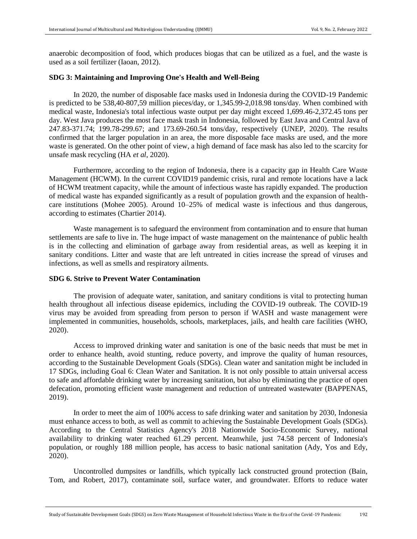anaerobic decomposition of food, which produces biogas that can be utilized as a fuel, and the waste is used as a soil fertilizer (Iaoan, 2012).

#### **SDG 3: Maintaining and Improving One's Health and Well-Being**

In 2020, the number of disposable face masks used in Indonesia during the COVID-19 Pandemic is predicted to be 538,40-807,59 million pieces/day, or 1,345.99-2,018.98 tons/day. When combined with medical waste, Indonesia's total infectious waste output per day might exceed 1,699.46-2,372.45 tons per day. West Java produces the most face mask trash in Indonesia, followed by East Java and Central Java of 247.83-371.74; 199.78-299.67; and 173.69-260.54 tons/day, respectively (UNEP, 2020). The results confirmed that the larger population in an area, the more disposable face masks are used, and the more waste is generated. On the other point of view, a high demand of face mask has also led to the scarcity for unsafe mask recycling (HA *et al,* 2020).

Furthermore, according to the region of Indonesia, there is a capacity gap in Health Care Waste Management (HCWM). In the current COVID19 pandemic crisis, rural and remote locations have a lack of HCWM treatment capacity, while the amount of infectious waste has rapidly expanded. The production of medical waste has expanded significantly as a result of population growth and the expansion of healthcare institutions (Mohee 2005). Around 10–25% of medical waste is infectious and thus dangerous, according to estimates (Chartier 2014).

Waste management is to safeguard the environment from contamination and to ensure that human settlements are safe to live in. The huge impact of waste management on the maintenance of public health is in the collecting and elimination of garbage away from residential areas, as well as keeping it in sanitary conditions. Litter and waste that are left untreated in cities increase the spread of viruses and infections, as well as smells and respiratory ailments.

#### **SDG 6. Strive to Prevent Water Contamination**

The provision of adequate water, sanitation, and sanitary conditions is vital to protecting human health throughout all infectious disease epidemics, including the COVID-19 outbreak. The COVID-19 virus may be avoided from spreading from person to person if WASH and waste management were implemented in communities, households, schools, marketplaces, jails, and health care facilities (WHO, 2020).

Access to improved drinking water and sanitation is one of the basic needs that must be met in order to enhance health, avoid stunting, reduce poverty, and improve the quality of human resources, according to the Sustainable Development Goals (SDGs). Clean water and sanitation might be included in 17 SDGs, including Goal 6: Clean Water and Sanitation. It is not only possible to attain universal access to safe and affordable drinking water by increasing sanitation, but also by eliminating the practice of open defecation, promoting efficient waste management and reduction of untreated wastewater (BAPPENAS, 2019).

In order to meet the aim of 100% access to safe drinking water and sanitation by 2030, Indonesia must enhance access to both, as well as commit to achieving the Sustainable Development Goals (SDGs). According to the Central Statistics Agency's 2018 Nationwide Socio-Economic Survey, national availability to drinking water reached 61.29 percent. Meanwhile, just 74.58 percent of Indonesia's population, or roughly 188 million people, has access to basic national sanitation (Ady, Yos and Edy, 2020).

Uncontrolled dumpsites or landfills, which typically lack constructed ground protection (Bain, Tom, and Robert, 2017), contaminate soil, surface water, and groundwater. Efforts to reduce water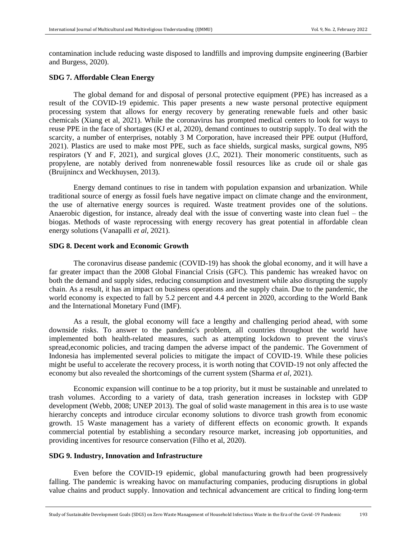contamination include reducing waste disposed to landfills and improving dumpsite engineering (Barbier and Burgess, 2020).

## **SDG 7. Affordable Clean Energy**

The global demand for and disposal of personal protective equipment (PPE) has increased as a result of the COVID-19 epidemic. This paper presents a new waste personal protective equipment processing system that allows for energy recovery by generating renewable fuels and other basic chemicals (Xiang et al, 2021). While the coronavirus has prompted medical centers to look for ways to reuse PPE in the face of shortages (KJ et al, 2020), demand continues to outstrip supply. To deal with the scarcity, a number of enterprises, notably 3 M Corporation, have increased their PPE output (Hufford, 2021). Plastics are used to make most PPE, such as face shields, surgical masks, surgical gowns, N95 respirators (Y and F, 2021), and surgical gloves (J.C, 2021). Their monomeric constituents, such as propylene, are notably derived from nonrenewable fossil resources like as crude oil or shale gas (Bruijnincx and Weckhuysen, 2013).

Energy demand continues to rise in tandem with population expansion and urbanization. While traditional source of energy as fossil fuels have negative impact on climate change and the environment, the use of alternative energy sources is required. Waste treatment provides one of the solutions. Anaerobic digestion, for instance, already deal with the issue of converting waste into clean fuel – the biogas. Methods of waste reprocessing with energy recovery has great potential in affordable clean energy solutions (Vanapalli *et al,* 2021).

#### **SDG 8. Decent work and Economic Growth**

The coronavirus disease pandemic (COVID-19) has shook the global economy, and it will have a far greater impact than the 2008 Global Financial Crisis (GFC). This pandemic has wreaked havoc on both the demand and supply sides, reducing consumption and investment while also disrupting the supply chain. As a result, it has an impact on business operations and the supply chain. Due to the pandemic, the world economy is expected to fall by 5.2 percent and 4.4 percent in 2020, according to the World Bank and the International Monetary Fund (IMF).

As a result, the global economy will face a lengthy and challenging period ahead, with some downside risks. To answer to the pandemic's problem, all countries throughout the world have implemented both health-related measures, such as attempting lockdown to prevent the virus's spread,economic policies, and tracing dampen the adverse impact of the pandemic. The Government of Indonesia has implemented several policies to mitigate the impact of COVID-19. While these policies might be useful to accelerate the recovery process, it is worth noting that COVID-19 not only affected the economy but also revealed the shortcomings of the current system (Sharma *et al,* 2021).

Economic expansion will continue to be a top priority, but it must be sustainable and unrelated to trash volumes. According to a variety of data, trash generation increases in lockstep with GDP development (Webb, 2008; UNEP 2013). The goal of solid waste management in this area is to use waste hierarchy concepts and introduce circular economy solutions to divorce trash growth from economic growth. 15 Waste management has a variety of different effects on economic growth. It expands commercial potential by establishing a secondary resource market, increasing job opportunities, and providing incentives for resource conservation (Filho et al, 2020).

#### **SDG 9. Industry, Innovation and Infrastructure**

Even before the COVID-19 epidemic, global manufacturing growth had been progressively falling. The pandemic is wreaking havoc on manufacturing companies, producing disruptions in global value chains and product supply. Innovation and technical advancement are critical to finding long-term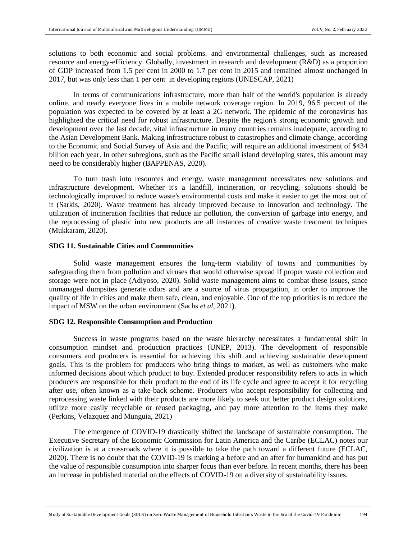solutions to both economic and social problems. and environmental challenges, such as increased resource and energy-efficiency. Globally, [investment in research and development](https://sustainabledevelopment.un.org/content/documents/26158Final_SG_SDG_Progress_Report_14052020.pdf) (R&D) as a proportion of GDP increased from 1.5 per cent in 2000 to 1.7 per cent in 2015 and remained almost unchanged in 2017, but was only less than 1 per cent in developing regions (UNESCAP, 2021)

In terms of communications infrastructure, more than half of the world's population is already online, and nearly everyone lives in a mobile network coverage region. In 2019, 96.5 percent of the population was expected to be covered by at least a 2G network. The epidemic of the coronavirus has highlighted the critical need for robust infrastructure. Despite the region's strong economic growth and development over the last decade, vital infrastructure in many countries remains inadequate, according to the Asian Development Bank. Making infrastructure robust to catastrophes and climate change, according to the Economic and Social Survey of Asia and the Pacific, will require an additional investment of \$434 billion each year. In other subregions, such as the Pacific small island developing states, this amount may need to be considerably higher (BAPPENAS, 2020).

To turn trash into resources and energy, waste management necessitates new solutions and infrastructure development. Whether it's a landfill, incineration, or recycling, solutions should be technologically improved to reduce waste's environmental costs and make it easier to get the most out of it (Sarkis, 2020). Waste treatment has already improved because to innovation and technology. The utilization of incineration facilities that reduce air pollution, the conversion of garbage into energy, and the reprocessing of plastic into new products are all instances of creative waste treatment techniques (Mukkaram, 2020).

#### **SDG 11. Sustainable Cities and Communities**

Solid waste management ensures the long-term viability of towns and communities by safeguarding them from pollution and viruses that would otherwise spread if proper waste collection and storage were not in place (Adiyoso, 2020). Solid waste management aims to combat these issues, since unmanaged dumpsites generate odors and are a source of virus propagation, in order to improve the quality of life in cities and make them safe, clean, and enjoyable. One of the top priorities is to reduce the impact of MSW on the urban environment (Sachs *et al*, 2021).

#### **SDG 12. Responsible Consumption and Production**

Success in waste programs based on the waste hierarchy necessitates a fundamental shift in consumption mindset and production practices (UNEP, 2013). The development of responsible consumers and producers is essential for achieving this shift and achieving sustainable development goals. This is the problem for producers who bring things to market, as well as customers who make informed decisions about which product to buy. Extended producer responsibility refers to acts in which producers are responsible for their product to the end of its life cycle and agree to accept it for recycling after use, often known as a take-back scheme. Producers who accept responsibility for collecting and reprocessing waste linked with their products are more likely to seek out better product design solutions, utilize more easily recyclable or reused packaging, and pay more attention to the items they make (Perkins, Velazquez and Munguia, 2021)

The emergence of COVID-19 drastically shifted the landscape of sustainable consumption. The Executive Secretary of the Economic Commission for Latin America and the Caribe (ECLAC) notes our civilization is at a crossroads where it is possible to take the path toward a different future (ECLAC, 2020). There is no doubt that the COVID-19 is marking a before and an after for humankind and has put the value of responsible consumption into sharper focus than ever before. In recent months, there has been an increase in published material on the effects of COVID-19 on a diversity of sustainability issues.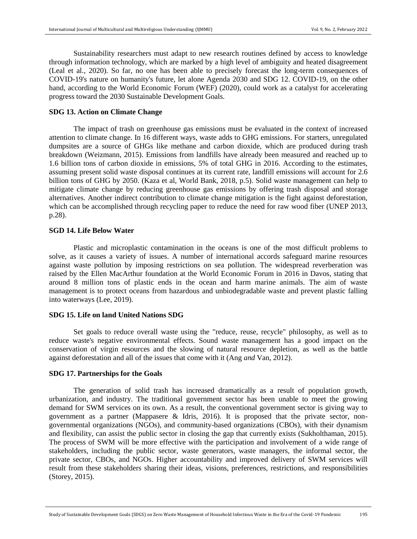Sustainability researchers must adapt to new research routines defined by access to knowledge through information technology, which are marked by a high level of ambiguity and heated disagreement (Leal et al., 2020). So far, no one has been able to precisely forecast the long-term consequences of COVID-19's nature on humanity's future, let alone Agenda 2030 and SDG 12. COVID-19, on the other hand, according to the World Economic Forum (WEF) (2020), could work as a catalyst for accelerating progress toward the 2030 Sustainable Development Goals.

# **SDG 13. Action on Climate Change**

The impact of trash on greenhouse gas emissions must be evaluated in the context of increased attention to climate change. In 16 different ways, waste adds to GHG emissions. For starters, unregulated dumpsites are a source of GHGs like methane and carbon dioxide, which are produced during trash breakdown (Weizmann, 2015). Emissions from landfills have already been measured and reached up to 1.6 billion tons of carbon dioxide in emissions, 5% of total GHG in 2016. According to the estimates, assuming present solid waste disposal continues at its current rate, landfill emissions will account for 2.6 billion tons of GHG by 2050. (Kaza et al, World Bank, 2018, p.5). Solid waste management can help to mitigate climate change by reducing greenhouse gas emissions by offering trash disposal and storage alternatives. Another indirect contribution to climate change mitigation is the fight against deforestation, which can be accomplished through recycling paper to reduce the need for raw wood fiber (UNEP 2013, p.28).

#### **SGD 14. Life Below Water**

Plastic and microplastic contamination in the oceans is one of the most difficult problems to solve, as it causes a variety of issues. A number of international accords safeguard marine resources against waste pollution by imposing restrictions on sea pollution. The widespread reverberation was raised by the Ellen MacArthur foundation at the World Economic Forum in 2016 in Davos, stating that around 8 million tons of plastic ends in the ocean and harm marine animals. The aim of waste management is to protect oceans from hazardous and unbiodegradable waste and prevent plastic falling into waterways (Lee, 2019).

# **SDG 15. Life on land United Nations SDG**

Set goals to reduce overall waste using the "reduce, reuse, recycle" philosophy, as well as to reduce waste's negative environmental effects. Sound waste management has a good impact on the conservation of virgin resources and the slowing of natural resource depletion, as well as the battle against deforestation and all of the issues that come with it (Ang *and* Van, 2012).

#### **SDG 17. Partnerships for the Goals**

The generation of solid trash has increased dramatically as a result of population growth, urbanization, and industry. The traditional government sector has been unable to meet the growing demand for SWM services on its own. As a result, the conventional government sector is giving way to government as a partner (Mappasere & Idris, 2016). It is proposed that the private sector, nongovernmental organizations (NGOs), and community-based organizations (CBOs), with their dynamism and flexibility, can assist the public sector in closing the gap that currently exists (Sukholthaman, 2015). The process of SWM will be more effective with the participation and involvement of a wide range of stakeholders, including the public sector, waste generators, waste managers, the informal sector, the private sector, CBOs, and NGOs. Higher accountability and improved delivery of SWM services will result from these stakeholders sharing their ideas, visions, preferences, restrictions, and responsibilities (Storey, 2015).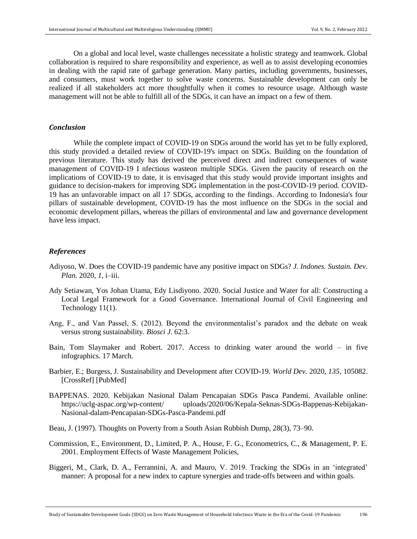On a global and local level, waste challenges necessitate a holistic strategy and teamwork. Global collaboration is required to share responsibility and experience, as well as to assist developing economies in dealing with the rapid rate of garbage generation. Many parties, including governments, businesses, and consumers, must work together to solve waste concerns. Sustainable development can only be realized if all stakeholders act more thoughtfully when it comes to resource usage. Although waste management will not be able to fulfill all of the SDGs, it can have an impact on a few of them.

#### *Conclusion*

While the complete impact of COVID-19 on SDGs around the world has yet to be fully explored, this study provided a detailed review of COVID-19's impact on SDGs. Building on the foundation of previous literature. This study has derived the perceived direct and indirect consequences of waste management of COVID-19 I nfectious wasteon multiple SDGs. Given the paucity of research on the implications of COVID-19 to date, it is envisaged that this study would provide important insights and guidance to decision-makers for improving SDG implementation in the post-COVID-19 period. COVID-19 has an unfavorable impact on all 17 SDGs, according to the findings. According to Indonesia's four pillars of sustainable development, COVID-19 has the most influence on the SDGs in the social and economic development pillars, whereas the pillars of environmental and law and governance development have less impact.

#### *References*

- Adiyoso, W. Does the COVID-19 pandemic have any positive impact on SDGs? *J. Indones. Sustain. Dev. Plan.* 2020, *1*, i–iii.
- Ady Setiawan, Yos Johan Utama, Edy Lisdiyono. 2020. Social Justice and Water for all: Constructing a Local Legal Framework for a Good Governance. International Journal of Civil Engineering and Technology 11(1).
- Ang, F., and Van Passel, S. (2012). Beyond the environmentalist's paradox and the debate on weak versus strong sustainability. *Biosci J.* 62:3.
- Bain, Tom Slaymaker and Robert. 2017. Access to drinking water around the world in five infographics. 17 March.
- Barbier, E.; Burgess, J. Sustainability and Development after COVID-19. *World Dev.* 2020, *135*, 105082. [CrossRef] [PubMed]
- BAPPENAS. 2020. Kebijakan Nasional Dalam Pencapaian SDGs Pasca Pandemi. Available online: https://uclg-aspac.org/wp-content/ uploads/2020/06/Kepala-Seknas-SDGs-Bappenas-Kebijakan-Nasional-dalam-Pencapaian-SDGs-Pasca-Pandemi.pdf
- Beau, J. (1997). Thoughts on Poverty from a South Asian Rubbish Dump, 28(3), 73–90.
- Commission, E., Environment, D., Limited, P. A., House, F. G., Econometrics, C., & Management, P. E. 2001. Employment Effects of Waste Management Policies,
- Biggeri, M., Clark, D. A., Ferrannini, A. and Mauro, V. 2019. Tracking the SDGs in an 'integrated' manner: A proposal for a new index to capture synergies and trade-offs between and within goals.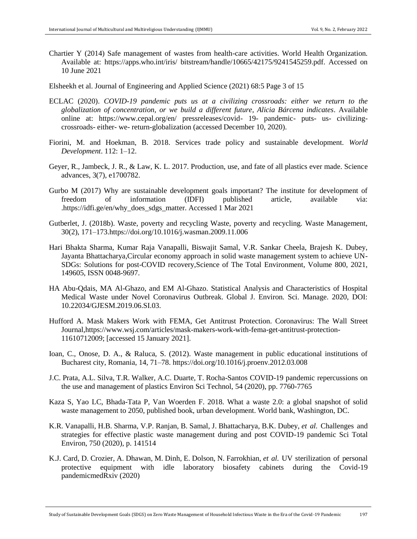- Chartier Y (2014) Safe management of wastes from health-care activities. World Health Organization. Available at: https://apps.who.int/iris/ bitstream/handle/10665/42175/9241545259.pdf. Accessed on 10 June 2021
- Elsheekh et al. Journal of Engineering and Applied Science (2021) 68:5 Page 3 of 15
- ECLAC (2020). *COVID-19 pandemic puts us at a civilizing crossroads: either we return to the globalization of concentration, or we build a different future, Alicia Bárcena indicates*. Available online at: https://www.cepal.org/en/ pressreleases/covid- 19- pandemic- puts- us- civilizingcrossroads- either- we- return-globalization (accessed December 10, 2020).
- Fiorini, M. and Hoekman, B. 2018. Services trade policy and sustainable development. *World Development*. 112: 1–12.
- Geyer, R., Jambeck, J. R., & Law, K. L. 2017. Production, use, and fate of all plastics ever made. Science advances, 3(7), e1700782.
- Gurbo M (2017) Why are sustainable development goals important? The institute for development of freedom of information (IDFI) published article, available via: .https://idfi.ge/en/why\_does\_sdgs\_matter. Accessed 1 Mar 2021
- Gutberlet, J. (2018b). Waste, poverty and recycling Waste, poverty and recycling. Waste Management, 30(2), 171–173.https://doi.org/10.1016/j.wasman.2009.11.006
- Hari Bhakta Sharma, Kumar Raja Vanapalli, Biswajit Samal, V.R. Sankar Cheela, Brajesh K. Dubey, Jayanta Bhattacharya,Circular economy approach in solid waste management system to achieve UN-SDGs: Solutions for post-COVID recovery,Science of The Total Environment, Volume 800, 2021, 149605, ISSN 0048-9697.
- HA Abu-Qdais, MA Al-Ghazo, and EM Al-Ghazo. Statistical Analysis and Characteristics of Hospital Medical Waste under Novel Coronavirus Outbreak. Global J. Environ. Sci. Manage. 2020, DOI: 10.22034/GJESM.2019.06.SI.03.
- Hufford A. Mask Makers Work with FEMA, Get Antitrust Protection. Coronavirus: The Wall Street Journal,https://www.wsj.com/articles/mask-makers-work-with-fema-get-antitrust-protection-11610712009; [accessed 15 January 2021].
- Ioan, C., Onose, D. A., & Raluca, S. (2012). Waste management in public educational institutions of Bucharest city, Romania, 14, 71–78. https://doi.org/10.1016/j.proenv.2012.03.008
- J.C. Prata, A.L. Silva, T.R. Walker, A.C. Duarte, T. Rocha-Santos COVID-19 pandemic repercussions on the use and management of plastics Environ Sci Technol, 54 (2020), pp. 7760-7765
- Kaza S, Yao LC, Bhada-Tata P, Van Woerden F. 2018. What a waste 2.0: a global snapshot of solid waste management to 2050, published book, urban development. World bank, Washington, DC.
- K.R. Vanapalli, H.B. Sharma, V.P. Ranjan, B. Samal, J. Bhattacharya, B.K. Dubey, *et al.* Challenges and strategies for effective plastic waste management during and post COVID-19 pandemic Sci Total Environ, 750 (2020), p. 141514
- K.J. Card, D. Crozier, A. Dhawan, M. Dinh, E. Dolson, N. Farrokhian, *et al.* UV sterilization of personal protective equipment with idle laboratory biosafety cabinets during the Covid-19 pandemicmedRxiv (2020)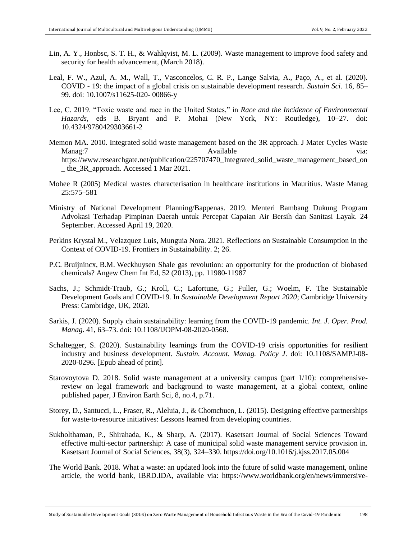- Lin, A. Y., Honbsc, S. T. H., & Wahlqvist, M. L. (2009). Waste management to improve food safety and security for health advancement, (March 2018).
- Leal, F. W., Azul, A. M., Wall, T., Vasconcelos, C. R. P., Lange Salvia, A., Paço, A., et al. (2020). COVID - 19: the impact of a global crisis on sustainable development research. *Sustain Sci*. 16, 85– 99. doi: 10.1007/s11625-020- 00866-y
- Lee, C. 2019. "Toxic waste and race in the United States," in *Race and the Incidence of Environmental Hazards*, eds B. Bryant and P. Mohai (New York, NY: Routledge), 10–27. doi: 10.4324/9780429303661-2
- Memon MA. 2010. Integrated solid waste management based on the 3R approach. J Mater Cycles Waste Manag:7 via: Available via: https://www.researchgate.net/publication/225707470\_Integrated\_solid\_waste\_management\_based\_on \_ the\_3R\_approach. Accessed 1 Mar 2021.
- Mohee R (2005) Medical wastes characterisation in healthcare institutions in Mauritius. Waste Manag 25:575–581
- Ministry of National Development Planning/Bappenas. 2019. Menteri Bambang Dukung Program Advokasi Terhadap Pimpinan Daerah untuk Percepat Capaian Air Bersih dan Sanitasi Layak. 24 September. Accessed April 19, 2020.
- Perkins Krystal M., Velazquez Luis, Munguia Nora. 2021. Reflections on Sustainable Consumption in the Context of COVID-19. Frontiers in Sustainability. 2; 26.
- P.C. Bruijnincx, B.M. Weckhuysen Shale gas revolution: an opportunity for the production of biobased chemicals? Angew Chem Int Ed, 52 (2013), pp. 11980-11987
- Sachs, J.; Schmidt-Traub, G.; Kroll, C.; Lafortune, G.; Fuller, G.; Woelm, F. The Sustainable Development Goals and COVID-19. In *Sustainable Development Report 2020*; Cambridge University Press: Cambridge, UK, 2020.
- Sarkis, J. (2020). Supply chain sustainability: learning from the COVID-19 pandemic. *Int. J. Oper. Prod. Manag*. 41, 63–73. doi: 10.1108/IJOPM-08-2020-0568.
- Schaltegger, S. (2020). Sustainability learnings from the COVID-19 crisis opportunities for resilient industry and business development*. Sustain. Account. Manag. Policy J*. doi: 10.1108/SAMPJ-08- 2020-0296. [Epub ahead of print].
- Starovoytova D. 2018. Solid waste management at a university campus (part 1/10): comprehensivereview on legal framework and background to waste management, at a global context, online published paper, J Environ Earth Sci, 8, no.4, p.71.
- Storey, D., Santucci, L., Fraser, R., Aleluia, J., & Chomchuen, L. (2015). Designing effective partnerships for waste-to-resource initiatives: Lessons learned from developing countries.
- Sukholthaman, P., Shirahada, K., & Sharp, A. (2017). Kasetsart Journal of Social Sciences Toward effective multi-sector partnership: A case of municipal solid waste management service provision in. Kasetsart Journal of Social Sciences, 38(3), 324–330. https://doi.org/10.1016/j.kjss.2017.05.004
- The World Bank. 2018. What a waste: an updated look into the future of solid waste management, online article, the world bank, IBRD.IDA, available via: https://www.worldbank.org/en/news/immersive-